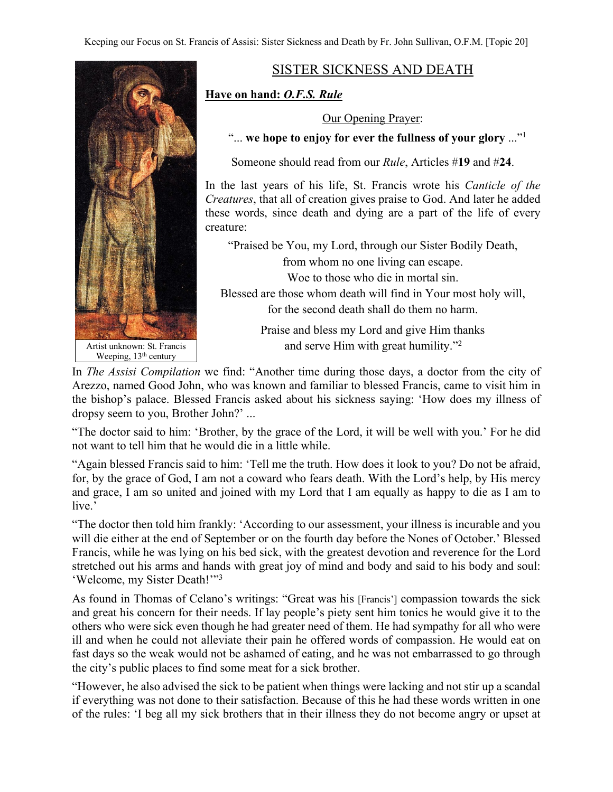

SISTER SICKNESS AND DEATH

## **Have on hand:** *O.F.S. Rule*

Our Opening Prayer:

"... **we hope to enjoy for ever the fullness of your glory** ..."1

Someone should read from our *Rule*, Articles #**19** and #**24**.

In the last years of his life, St. Francis wrote his *Canticle of the Creatures*, that all of creation gives praise to God. And later he added these words, since death and dying are a part of the life of every creature:

"Praised be You, my Lord, through our Sister Bodily Death, from whom no one living can escape. Woe to those who die in mortal sin. Blessed are those whom death will find in Your most holy will, for the second death shall do them no harm.

Praise and bless my Lord and give Him thanks and serve Him with great humility."2

In *The Assisi Compilation* we find: "Another time during those days, a doctor from the city of Arezzo, named Good John, who was known and familiar to blessed Francis, came to visit him in the bishop's palace. Blessed Francis asked about his sickness saying: 'How does my illness of dropsy seem to you, Brother John?' ...

"The doctor said to him: 'Brother, by the grace of the Lord, it will be well with you.' For he did not want to tell him that he would die in a little while.

"Again blessed Francis said to him: 'Tell me the truth. How does it look to you? Do not be afraid, for, by the grace of God, I am not a coward who fears death. With the Lord's help, by His mercy and grace, I am so united and joined with my Lord that I am equally as happy to die as I am to live.'

"The doctor then told him frankly: 'According to our assessment, your illness is incurable and you will die either at the end of September or on the fourth day before the Nones of October.' Blessed Francis, while he was lying on his bed sick, with the greatest devotion and reverence for the Lord stretched out his arms and hands with great joy of mind and body and said to his body and soul: 'Welcome, my Sister Death!'"3

As found in Thomas of Celano's writings: "Great was his [Francis'] compassion towards the sick and great his concern for their needs. If lay people's piety sent him tonics he would give it to the others who were sick even though he had greater need of them. He had sympathy for all who were ill and when he could not alleviate their pain he offered words of compassion. He would eat on fast days so the weak would not be ashamed of eating, and he was not embarrassed to go through the city's public places to find some meat for a sick brother.

"However, he also advised the sick to be patient when things were lacking and not stir up a scandal if everything was not done to their satisfaction. Because of this he had these words written in one of the rules: 'I beg all my sick brothers that in their illness they do not become angry or upset at